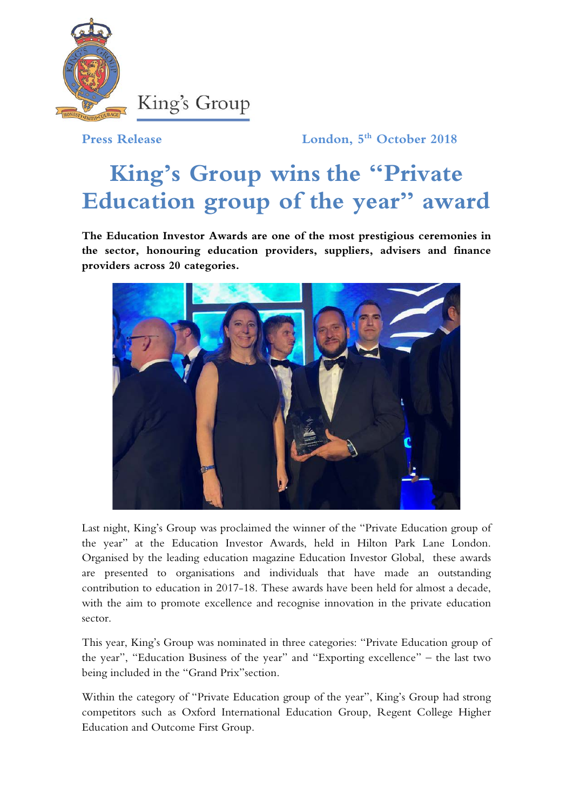

**Press Release London, 5th October 2018**

## **King's Group wins the "Private Education group of the year" award**

**The Education Investor Awards are one of the most prestigious ceremonies in the sector, honouring education providers, suppliers, advisers and finance providers across 20 categories.**



Last night, King's Group was proclaimed the winner of the "Private Education group of the year" at the Education Investor Awards, held in Hilton Park Lane London. Organised by the leading education magazine Education Investor Global, these awards are presented to organisations and individuals that have made an outstanding contribution to education in 2017-18. These awards have been held for almost a decade, with the aim to promote excellence and recognise innovation in the private education sector.

This year, King's Group was nominated in three categories: "Private Education group of the year", "Education Business of the year" and "Exporting excellence" – the last two being included in the "Grand Prix"section.

Within the category of "Private Education group of the year", King's Group had strong competitors such as Oxford International Education Group, Regent College Higher Education and Outcome First Group.